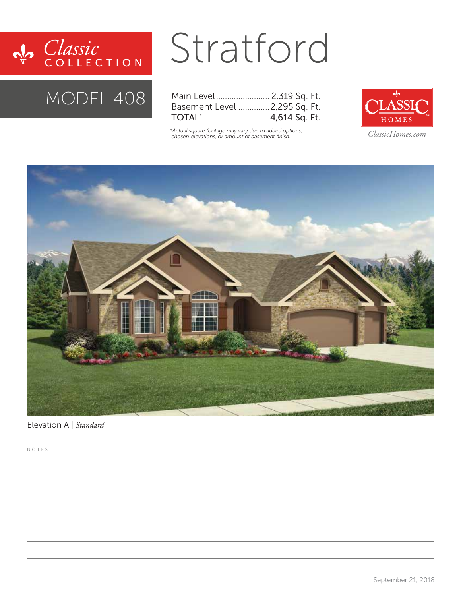

### MODEL 408

# Stratford

| Main Level 2,319 Sq. Ft.      |  |  |
|-------------------------------|--|--|
| Basement Level  2,295 Sq. Ft. |  |  |
|                               |  |  |

*\*Actual square footage may vary due to added options, chosen elevations, or amount of basement finish.*



*ClassicHomes.com*



Elevation A | *Standard*

NOTES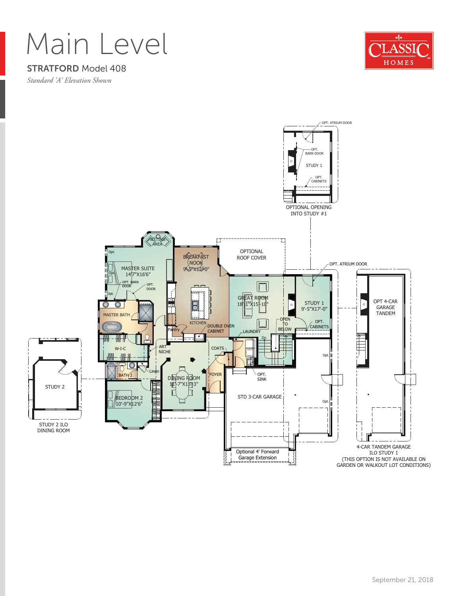# Main Level

#### STRATFORD Model 408

*Standard 'A' Elevation Shown*



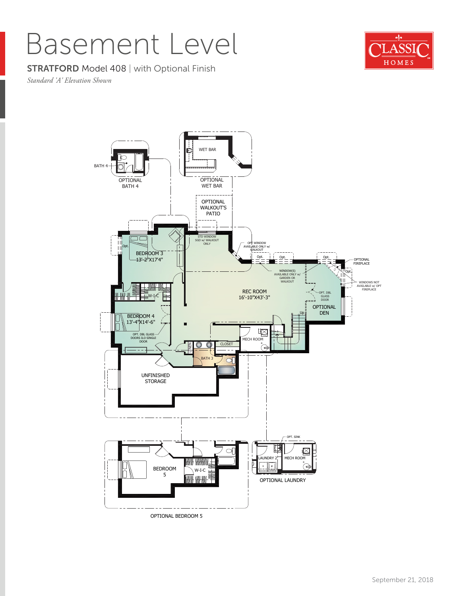## Basement Level

#### **STRATFORD Model 408 | with Optional Finish**

*Standard 'A' Elevation Shown*